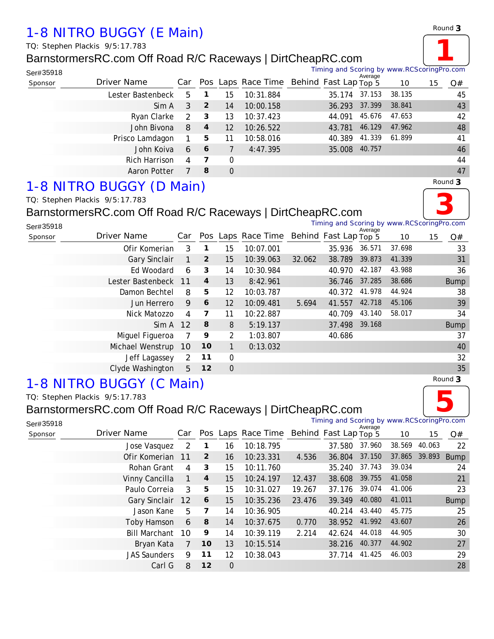# *1-8 NITRO BUGGY (E Main)*

*TQ: Stephen Plackis 9/5:17.783*

### BarnstormersRC.com Off Road R/C Raceways | DirtCheapRC.com



Timing and Scoring by www.RCScoringPro.com

| Ser#35918 |                   |   |                  |                |           | Timing and Scoring by www.RCScoringPro.com   | Average |        |    |    |
|-----------|-------------------|---|------------------|----------------|-----------|----------------------------------------------|---------|--------|----|----|
| Sponsor   | Driver Name       |   |                  |                |           | Car Pos Laps Race Time Behind Fast Lap Top 5 |         | 10     | 15 | Q# |
|           | Lester Bastenbeck | 5 | -1               | 15             | 10:31.884 | 35.174                                       | 37.153  | 38.135 |    | 45 |
|           | Sim A             | 3 | $\overline{2}$   | 14             | 10:00.158 | 36.293                                       | 37.399  | 38.841 |    | 43 |
|           | Ryan Clarke       | 2 | 3                | 13             | 10:37.423 | 44.091                                       | 45.676  | 47.653 |    | 42 |
|           | John Bivona       | 8 | $\boldsymbol{4}$ | 12             | 10:26.522 | 43.781                                       | 46.129  | 47.962 |    | 48 |
|           | Prisco Lamdagon   |   | 5                | 11             | 10:58.016 | 40.389                                       | 41.339  | 61.899 |    | 41 |
|           | John Koiva        | 6 | 6                |                | 4:47.395  | 35.008                                       | 40.757  |        |    | 46 |
|           | Rich Harrison     | 4 | 7                | $\Omega$       |           |                                              |         |        |    | 44 |
|           | Aaron Potter      |   | 8                | $\overline{0}$ |           |                                              |         |        |    | 47 |

## *1-8 NITRO BUGGY (D Main)*



### BarnstormersRC.com Off Road R/C Raceways | DirtCheapRC.com



*Round* **3**

Timing and Scoring by www.RCScoringPro.com

Timing and Scoring by www.RCScoringPro.com

| Ser#35918 |                            |     |                         |                 |                    |        | Timing and Scoring by www.RCScoringPro.com | Average |        |    |             |
|-----------|----------------------------|-----|-------------------------|-----------------|--------------------|--------|--------------------------------------------|---------|--------|----|-------------|
| Sponsor   | Driver Name                | Car |                         |                 | Pos Laps Race Time |        | Behind Fast Lap Top 5                      |         | 10     | 15 | Q#          |
|           | Ofir Komerian              | 3   | 1                       | 15              | 10:07.001          |        | 35.936                                     | 36.571  | 37.698 |    | 33          |
|           | Gary Sinclair              | 1   | $\overline{2}$          | 15              | 10:39.063          | 32.062 | 38.789                                     | 39.873  | 41.339 |    | 31          |
|           | Ed Woodard                 | 6   | 3                       | 14              | 10:30.984          |        | 40.970                                     | 42.187  | 43.988 |    | 36          |
|           | Lester Bastenbeck 11       |     | $\overline{4}$          | 13              | 8:42.961           |        | 36.746 37.285                              |         | 38.686 |    | <b>Bump</b> |
|           | Damon Bechtel              | 8   | 5                       | 12              | 10:03.787          |        | 40.372                                     | 41.978  | 44.924 |    | 38          |
|           | Jun Herrero                | 9   | 6                       | 12 <sup>2</sup> | 10:09.481          | 5.694  | 41.557                                     | 42.718  | 45.106 |    | 39          |
|           | Nick Matozzo               | 4   | $\overline{\mathbf{z}}$ | 11              | 10:22.887          |        | 40.709                                     | 43.140  | 58.017 |    | 34          |
|           | $Sim A$ 12                 |     | 8                       | 8               | 5:19.137           |        | 37.498 39.168                              |         |        |    | <b>Bump</b> |
|           | Miguel Figueroa            |     | 9                       | 2               | 1:03.807           |        | 40.686                                     |         |        |    | 37          |
|           | Michael Wenstrup 10        |     | 10                      |                 | 0:13.032           |        |                                            |         |        |    | 40          |
|           | Jeff Lagassey              | 2   | 11                      | $\mathbf 0$     |                    |        |                                            |         |        |    | 32          |
|           | Clyde Washington           | 5   | 12                      | $\mathbf 0$     |                    |        |                                            |         |        |    | 35          |
|           | $O$ NIITDO DIICOV (C Moin) |     |                         |                 |                    |        |                                            |         |        |    | Round 3     |

# *1-8 NITRO BUGGY (C Main)*

*TQ: Stephen Plackis 9/5:17.783*

Ser#35918

### BarnstormersRC.com Off Road R/C Raceways | DirtCheapRC.com



s<sub>ponsor</sub> *Driver Name* Car Pos Laps Race Time Behind Fast Lap Top 5 10 15 Q# Average Jose Vasquez 2 **1** 16 10:18.795 37.580 37.960 38.569 40.063 22 Ofir Komerian 11 **2** 16 10:23.331 4.536 36.804 37.150 37.865 39.893 Bump Rohan Grant 4 **3** 15 10:11.760 35.240 37.743 39.034 24 Vinny Cancilla 1 **4** 15 10:24.197 12.437 38.608 39.755 41.058 21 Paulo Correia 3 **5** 15 10:31.027 19.267 37.176 39.074 41.006 23

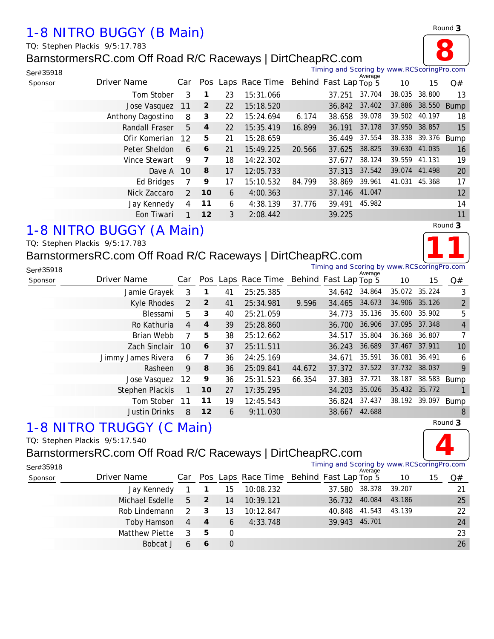## *1-8 NITRO BUGGY (B Main)*

*TQ: Stephen Plackis 9/5:17.783*

## BarnstormersRC.com Off Road R/C Raceways | DirtCheapRC.com



| Ser#35918 |                   |                               |                  |    |                                          |        | Timing and Scoring by www.RCScoringPro.com |         |        |               |             |
|-----------|-------------------|-------------------------------|------------------|----|------------------------------------------|--------|--------------------------------------------|---------|--------|---------------|-------------|
| Sponsor   | Driver Name       | Car                           |                  |    | Pos Laps Race Time Behind Fast Lap Top 5 |        |                                            | Average | 10     | 15            | Q#          |
|           |                   | Tom Stober<br>3               | 1                | 23 | 15:31.066                                |        | 37.251                                     | 37.704  | 38.035 | 38.800        | 13          |
|           |                   | Jose Vasquez<br>11            | $\overline{2}$   | 22 | 15:18.520                                |        | 36.842                                     | 37.402  | 37.886 | 38.550        | <b>Bump</b> |
|           | Anthony Dagostino | 8                             | 3                | 22 | 15:24.694                                | 6.174  | 38.658                                     | 39.078  | 39.502 | 40.197        | 18          |
|           |                   | Randall Fraser<br>5           | $\boldsymbol{4}$ | 22 | 15:35.419                                | 16.899 | 36.191                                     | 37.178  | 37.950 | 38.857        | 15          |
|           |                   | Ofir Komerian<br>12           | 5                | 21 | 15:28.659                                |        | 36.449                                     | 37.554  |        | 38.338 39.376 | Bump        |
|           |                   | Peter Sheldon<br>6            | 6                | 21 | 15:49.225                                | 20.566 | 37.625                                     | 38.825  | 39.630 | 41.035        | 16          |
|           |                   | Vince Stewart<br>9            | 7                | 18 | 14:22.302                                |        | 37.677                                     | 38.124  | 39.559 | 41.131        | 19          |
|           |                   | <b>10</b><br>Dave A           | 8                | 17 | 12:05.733                                |        | 37.313                                     | 37.542  | 39.074 | 41.498        | 20          |
|           |                   | <b>Ed Bridges</b>             | 9                | 17 | 15:10.532                                | 84.799 | 38.869                                     | 39.961  | 41.031 | 45.368        | 17          |
|           |                   | Nick Zaccaro<br>$\mathcal{P}$ | 10               | 6  | 4:00.363                                 |        | 37.146                                     | 41.047  |        |               | 12          |
|           |                   | Jay Kennedy<br>4              | 11               | 6  | 4:38.139                                 | 37.776 | 39.491                                     | 45.982  |        |               | 14          |
|           |                   | Eon Tiwari                    | 12               | 3  | 2:08.442                                 |        | 39.225                                     |         |        |               | 11          |

# *1-8 NITRO BUGGY (A Main)*

#### *TQ: Stephen Plackis 9/5:17.783*

## BarnstormersRC.com Off Road R/C Raceways | DirtCheapRC.com



*Round* **3**

**8**

| Ser#35918 |                        |     |                |    |                    |        | Timing and Scoring by www.RCScoringPro.com |         |               |        |                |
|-----------|------------------------|-----|----------------|----|--------------------|--------|--------------------------------------------|---------|---------------|--------|----------------|
| Sponsor   | Driver Name            | Car |                |    | Pos Laps Race Time |        | Behind Fast Lap Top 5                      | Average | 10            | 15     | Q#             |
|           | Jamie Grayek           | 3   |                | 41 | 25:25.385          |        | 34.642                                     | 34.864  | 35.072 35.224 |        | 3              |
|           | Kyle Rhodes            | 2   | $\overline{2}$ | 41 | 25:34.981          | 9.596  | 34.465                                     | 34.673  | 34.906 35.126 |        | $\overline{2}$ |
|           | Blessami               | 5   | 3              | 40 | 25:21.059          |        | 34.773                                     | 35.136  | 35.600        | 35.902 | 5              |
|           | Ro Kathuria            | 4   | $\overline{4}$ | 39 | 25:28.860          |        | 36.700                                     | 36.906  | 37.095        | 37.348 | $\overline{4}$ |
|           | Brian Webb             | 7   | 5              | 38 | 25:12.662          |        | 34.517                                     | 35.804  | 36.368 36.807 |        | $\overline{7}$ |
|           | Zach Sinclair          | 10  | 6              | 37 | 25:11.511          |        | 36.243                                     | 36.689  | 37.467        | 37.911 | 10             |
|           | Jimmy James Rivera     | 6   | 7              | 36 | 24:25.169          |        | 34.671                                     | 35.591  | 36.081        | 36.491 | 6              |
|           | Rasheen                | 9   | 8              | 36 | 25:09.841          | 44.672 | 37.372                                     | 37.522  | 37.732 38.037 |        | 9              |
|           | Jose Vasquez           | 12  | 9              | 36 | 25:31.523          | 66.354 | 37.383                                     | 37.721  | 38.187        | 38.583 | Bump           |
|           | <b>Stephen Plackis</b> | 1   | 10             | 27 | 17:35.295          |        | 34.203                                     | 35.026  | 35.432 35.772 |        |                |
|           | Tom Stober             | 11  | 11             | 19 | 12:45.543          |        | 36.824                                     | 37.437  | 38.192 39.097 |        | Bump           |
|           | <b>Justin Drinks</b>   | 8   | 12             | 6  | 9:11.030           |        | 38.667                                     | 42.688  |               |        | 8              |

# *1-8 NITRO TRUGGY (C Main)*

#### *TQ: Stephen Plackis 9/5:17.540*

#### BarnstormersRC.com Off Road R/C Raceways | DirtCheapRC.com Timing and Scoring by www.RCScoringPro.com



| Ser#35918 |                 |                         |                            |          |                                              | Timing and Scoring by www.RCScoringPro.com | Average |        |    |    |
|-----------|-----------------|-------------------------|----------------------------|----------|----------------------------------------------|--------------------------------------------|---------|--------|----|----|
| Sponsor   | Driver Name     |                         |                            |          | Car Pos Laps Race Time Behind Fast Lap Top 5 |                                            |         | 10     | 15 | Q# |
|           | Jay Kennedy     |                         | $\blacksquare$             | 15       | 10:08.232                                    | 37.580 38.378                              |         | 39.207 |    | 21 |
|           | Michael Esdelle | 5 <sup>1</sup>          | $\overline{\phantom{0}}$ 2 | 14       | 10:39.121                                    | 36.732 40.084                              |         | 43.186 |    | 25 |
|           | Rob Lindemann   | $\mathcal{L}$           | $\overline{\mathbf{3}}$    | 13       | 10:12.847                                    | 40.848 41.543                              |         | 43.139 |    | 22 |
|           | Toby Hamson     | $4 \quad 4$             |                            | 6        | 4:33.748                                     | 39.943 45.701                              |         |        |    | 24 |
|           | Matthew Piette  | $\overline{\mathbf{3}}$ | - 5                        | $\Omega$ |                                              |                                            |         |        |    | 23 |
|           | Bobcat J        | 6                       | 6                          | $\Omega$ |                                              |                                            |         |        |    | 26 |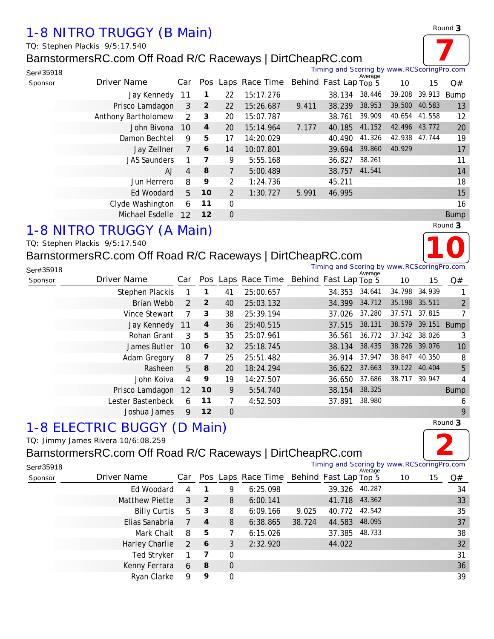# *1-8 NITRO TRUGGY (B Main)*

*TQ: Stephen Plackis 9/5:17.540*

### BarnstormersRC.com Off Road R/C Raceways | DirtCheapRC.com



Michael Esdelle 12 **12** 0 Bump

# *1-8 NITRO TRUGGY (A Main)*

## BarnstormersRC.com Off Road R/C Raceways | I

|           | TQ: Stephen Plackis 9/5:17.540                             |             |    |                                                |                                            |         |                             |    | 10             |
|-----------|------------------------------------------------------------|-------------|----|------------------------------------------------|--------------------------------------------|---------|-----------------------------|----|----------------|
|           | BarnstormersRC.com Off Road R/C Raceways   DirtCheapRC.com |             |    |                                                |                                            |         |                             |    |                |
| Ser#35918 |                                                            |             |    |                                                | Timing and Scoring by www.RCScoringPro.com | Average |                             |    |                |
| Sponsor   | Driver Name                                                |             |    | Car Pos Laps Race Time Behind Fast Lap Top $5$ |                                            |         | 10                          | 15 | Q#             |
|           | Stephen Plackis 1 1                                        |             | 41 | 25:00.657                                      | 34.353 34.641                              |         | 34.798 34.939               |    |                |
|           | Brian Webb                                                 | $2^{\circ}$ | 40 | 25:03.132                                      | 34.399 34.712 35.198 35.511                |         |                             |    | $\overline{2}$ |
|           | Vince Stewart                                              | - 3         | 38 | 25:39.194                                      | 37.026 37.280 37.571 37.815                |         |                             |    | $\overline{7}$ |
|           | $\ln V$ Connody 11 A                                       |             |    | $26$ $25.10$ $515$                             |                                            |         | 27 515 28 121 28 570 20 151 |    | $P_{I}$        |

| <b>ULLANDITI TULIS</b> |                |                |          | 20.00.007 | <u>JT.JJJ</u> | .                           |               |               |                |
|------------------------|----------------|----------------|----------|-----------|---------------|-----------------------------|---------------|---------------|----------------|
| Brian Webb             |                | $2 \quad 2$    | 40       | 25:03.132 |               | 34.399 34.712 35.198 35.511 |               |               | $\overline{2}$ |
| Vince Stewart          | 7              | 3              | 38       | 25:39.194 |               | 37.026 37.280               | 37.571 37.815 |               | $\overline{7}$ |
| Jay Kennedy 11         |                | $\overline{4}$ | 36       | 25:40.515 |               | 37.515 38.131               | 38.579 39.151 |               | Bump           |
| Rohan Grant            | $\mathbf{3}$   | 5              | 35       | 25:07.961 |               | 36.561 36.772 37.342 38.026 |               |               | -3             |
| James Butler 10        |                | 6              | 32       | 25:18.745 |               | 38.134 38.435               | 38.726 39.076 |               | 10             |
| Adam Gregory           | 8              | 7              | 25       | 25:51.482 |               | 36.914 37.947               |               | 38.847 40.350 | 8              |
| Rasheen                | 5 <sup>5</sup> | 8              | 20       | 18:24.294 |               | 36.622 37.663 39.122 40.404 |               |               | 5              |
| John Koiva             | $\overline{4}$ | 9              | 19       | 14:27.507 |               | 36.650 37.686               | 38.717 39.947 |               | 4              |
| Prisco Lamdagon 12     |                | 10             | 9        | 5:54.740  | 38.154 38.325 |                             |               |               | <b>Bump</b>    |
| Lester Bastenbeck      | 6              | 11             | 7        | 4:52.503  | 37.891 38.980 |                             |               |               | 6              |
| Joshua James           | 9              | 12             | $\Omega$ |           |               |                             |               |               | 9              |

## *1-8 ELECTRIC BUGGY (D Main)*

#### *TQ: Jimmy James Rivera 10/6:08.259*

## BarnstormersRC.com Off Road R/C Raceways | DirtCheapRC.com

| Round 3 |
|---------|
|         |
|         |

| Ser#35918 |                     |               |                  |          |                                              |        | Timing and Scoring by www.RCScoringPro.com |         |    |    |    |
|-----------|---------------------|---------------|------------------|----------|----------------------------------------------|--------|--------------------------------------------|---------|----|----|----|
| Sponsor   | Driver Name         |               |                  |          | Car Pos Laps Race Time Behind Fast Lap Top 5 |        |                                            | Average | 10 | 15 | Q# |
|           | Ed Woodard          | 4             |                  | 9        | 6:25.098                                     |        | 39.326                                     | 40.287  |    |    | 34 |
|           | Matthew Piette      | 3             | $\mathbf{2}$     | 8        | 6:00.141                                     |        | 41.718 43.362                              |         |    |    | 33 |
|           | <b>Billy Curtis</b> | 5             | $\mathbf{3}$     | 8        | 6:09.166                                     | 9.025  | 40.772                                     | 42.542  |    |    | 35 |
|           | Elias Sanabria      | 7             | $\boldsymbol{4}$ | 8        | 6:38.865                                     | 38.724 | 44.583                                     | 48.095  |    |    | 37 |
|           | Mark Chait          | 8             | 5                |          | 6:15.026                                     |        | 37.385                                     | 48.733  |    |    | 38 |
|           | Harley Charlie      | $\mathcal{P}$ | 6                | 3        | 2:32.920                                     |        | 44.022                                     |         |    |    | 32 |
|           | Ted Stryker         |               | 7                | 0        |                                              |        |                                            |         |    |    | 31 |
|           | Kenny Ferrara       | 6             | - 8              | $\Omega$ |                                              |        |                                            |         |    |    | 36 |
|           | Ryan Clarke         | 9             | 9                | 0        |                                              |        |                                            |         |    |    | 39 |

*Round* **3**

**7** Timing and Scoring by www.RCScoringPro.com

*Round* **3**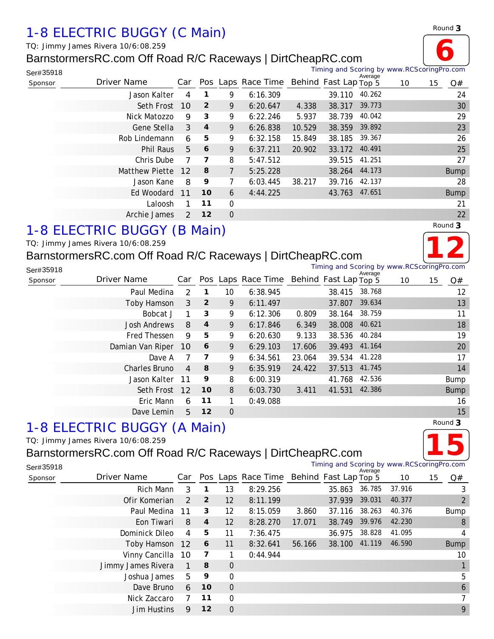# *1-8 ELECTRIC BUGGY (C Main)*

*TQ: Jimmy James Rivera 10/6:08.259*

# BarnstormersRC.com Off Road R/C Raceways | DirtCheapRC.com



| Ser#35918 |                |               |                  |             |                    |        |                       | Average | Timing and Scoring by www.RCScoringPro.com |    |             |
|-----------|----------------|---------------|------------------|-------------|--------------------|--------|-----------------------|---------|--------------------------------------------|----|-------------|
| Sponsor   | Driver Name    | Car           |                  |             | Pos Laps Race Time |        | Behind Fast Lap Top 5 |         | 10                                         | 15 | Q#          |
|           | Jason Kalter   | 4             | 1                | 9           | 6:16.309           |        | 39.110                | 40.262  |                                            |    | 24          |
|           | Seth Frost     | <b>10</b>     | $\overline{2}$   | 9           | 6:20.647           | 4.338  | 38.317                | 39.773  |                                            |    | 30          |
|           | Nick Matozzo   | 9             | 3                | 9           | 6:22.246           | 5.937  | 38.739                | 40.042  |                                            |    | 29          |
|           | Gene Stella    | 3             | $\boldsymbol{4}$ | 9           | 6:26.838           | 10.529 | 38.359                | 39.892  |                                            |    | 23          |
|           | Rob Lindemann  | 6             | 5                | 9           | 6:32.158           | 15.849 | 38.185                | 39.367  |                                            |    | 26          |
|           | Phil Raus      | 5             | 6                | 9           | 6:37.211           | 20.902 | 33.172                | 40.491  |                                            |    | 25          |
|           | Chris Dube     | 7             | 7                | 8           | 5:47.512           |        | 39.515                | 41.251  |                                            |    | 27          |
|           | Matthew Piette | 12            | 8                | 7           | 5:25.228           |        | 38.264                | 44.173  |                                            |    | <b>Bump</b> |
|           | Jason Kane     | 8             | 9                | 7           | 6:03.445           | 38.217 | 39.716                | 42.137  |                                            |    | 28          |
|           | Ed Woodard     | 11            | 10               | 6           | 4:44.225           |        | 43.763                | 47.651  |                                            |    | <b>Bump</b> |
|           | Laloosh        |               | 11               | $\mathbf 0$ |                    |        |                       |         |                                            |    | 21          |
|           | Archie James   | $\mathcal{P}$ | 12               | $\mathbf 0$ |                    |        |                       |         |                                            |    | 22          |

# *1-8 ELECTRIC BUGGY (B Main)*

*TQ: Jimmy James Rivera 10/6:08.259*

## BarnstormersRC.com Off Road R/C Raceways | DirtCheapRC.com

|  | Round 3 |
|--|---------|
|  |         |

| Ser#35918 |                     |                |                  |                |                                          |        |        | Average | Timing and Scoring by www.RCScoringPro.com |    |             |
|-----------|---------------------|----------------|------------------|----------------|------------------------------------------|--------|--------|---------|--------------------------------------------|----|-------------|
| Sponsor   | Driver Name         | Car            |                  |                | Pos Laps Race Time Behind Fast Lap Top 5 |        |        |         | 10                                         | 15 | Q#          |
|           | Paul Medina         | 2              | 1                | 10             | 6:38.945                                 |        | 38.415 | 38.768  |                                            |    | 12          |
|           | Toby Hamson         | 3              | $\overline{2}$   | 9              | 6:11.497                                 |        | 37.807 | 39.634  |                                            |    | 13          |
|           | Bobcat J            | 1              | 3                | 9              | 6:12.306                                 | 0.809  | 38.164 | 38.759  |                                            |    | 11          |
|           | <b>Josh Andrews</b> | 8              | $\boldsymbol{4}$ | 9              | 6:17.846                                 | 6.349  | 38.008 | 40.621  |                                            |    | 18          |
|           | Fred Thessen        | 9              | 5                | 9              | 6:20.630                                 | 9.133  | 38.536 | 40.284  |                                            |    | 19          |
|           | Damian Van Riper    | <b>10</b>      | 6                | 9              | 6:29.103                                 | 17.606 | 39.493 | 41.164  |                                            |    | 20          |
|           | Dave A              |                | 7                | 9              | 6:34.561                                 | 23.064 | 39.534 | 41.228  |                                            |    | 17          |
|           | Charles Bruno       | $\overline{4}$ | 8                | 9              | 6:35.919                                 | 24.422 | 37.513 | 41.745  |                                            |    | 14          |
|           | Jason Kalter        | 11             | 9                | 8              | 6:00.319                                 |        | 41.768 | 42.536  |                                            |    | Bump        |
|           | Seth Frost          | 12             | 10               | 8              | 6:03.730                                 | 3.411  | 41.531 | 42.386  |                                            |    | <b>Bump</b> |
|           | Eric Mann           | 6              | 11               |                | 0:49.088                                 |        |        |         |                                            |    | 16          |
|           | Dave Lemin          | 5              | 12               | $\overline{0}$ |                                          |        |        |         |                                            |    | 15          |

## *1-8 ELECTRIC BUGGY (A Main)*

#### *TQ: Jimmy James Rivera 10/6:08.259*

## BarnstormersRC.com Off Road R/C Raceways | DirtCheapRC.com

*Round* **3 15**

| Ser#35918 |                    |               |                         |          |                                          |        | Timing and Scoring by www.RCScoringPro.com | Average |        |    |                |
|-----------|--------------------|---------------|-------------------------|----------|------------------------------------------|--------|--------------------------------------------|---------|--------|----|----------------|
| Sponsor   | Driver Name        | Car           |                         |          | Pos Laps Race Time Behind Fast Lap Top 5 |        |                                            |         | 10     | 15 | Q#             |
|           | Rich Mann          | 3             | 1                       | 13       | 8:29.256                                 |        | 35.863                                     | 36.785  | 37.916 |    | 3              |
|           | Ofir Komerian      | $\mathcal{P}$ | $\overline{2}$          | 12       | 8:11.199                                 |        | 37.939                                     | 39.031  | 40.377 |    | $\overline{2}$ |
|           | Paul Medina        | 11            | 3                       | 12       | 8:15.059                                 | 3.860  | 37.116                                     | 38.263  | 40.376 |    | <b>Bump</b>    |
|           | Eon Tiwari         | 8             | 4                       | 12       | 8:28.270                                 | 17.071 | 38.749                                     | 39.976  | 42.230 |    | 8              |
|           | Dominick Dileo     | 4             | 5                       | 11       | 7:36.475                                 |        | 36.975                                     | 38.828  | 41.095 |    | 4              |
|           | Toby Hamson 12     |               | 6                       | 11       | 8:32.641                                 | 56.166 | 38.100                                     | 41.119  | 46.590 |    | <b>Bump</b>    |
|           | Vinny Cancilla 10  |               | $\overline{\mathbf{z}}$ |          | 0:44.944                                 |        |                                            |         |        |    | 10             |
|           | Jimmy James Rivera | $\mathbf{1}$  | 8                       | $\theta$ |                                          |        |                                            |         |        |    |                |
|           | Joshua James       | 5             | 9                       | $\Omega$ |                                          |        |                                            |         |        |    | 5              |
|           | Dave Bruno         | 6             | 10                      | $\theta$ |                                          |        |                                            |         |        |    | 6              |
|           | Nick Zaccaro       |               | 11                      | $\Omega$ |                                          |        |                                            |         |        |    | 7              |
|           | Jim Hustins        | 9             | 12                      | $\Omega$ |                                          |        |                                            |         |        |    | 9              |

*Round* **3**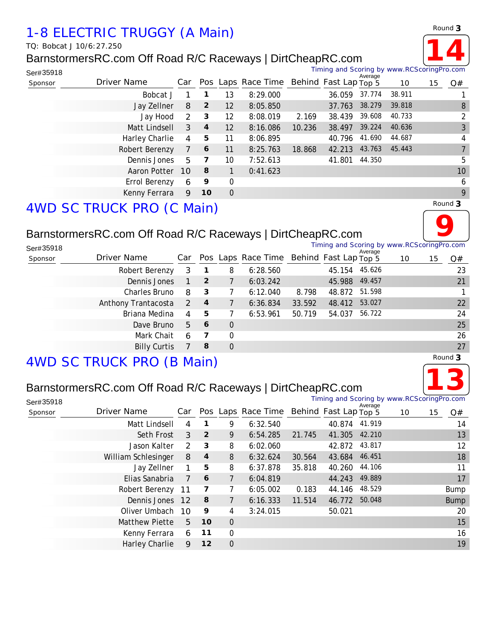# *1-8 ELECTRIC TRUGGY (A Main)*

*TQ: Bobcat J 10/6:27.250*

## BarnstormersRC.com Off Road R/C Raceways | DirtCheapRC.com



Timing and Scoring by www.RCScoringPro.com

| Ser#35918 |                |           |                |                |                                                      |        | Timing and Scoring by www.RCScoringPro.com |         |        |    |                |
|-----------|----------------|-----------|----------------|----------------|------------------------------------------------------|--------|--------------------------------------------|---------|--------|----|----------------|
| Sponsor   | Driver Name    |           |                |                | Car Pos Laps Race Time Behind Fast Lap Top $\bar{5}$ |        |                                            | Average | 10     | 15 | Q#             |
|           | Bobcat J       |           |                | 13             | 8:29.000                                             |        | 36.059                                     | 37.774  | 38.911 |    |                |
|           | Jay Zellner    | 8         | $\overline{2}$ | 12             | 8:05.850                                             |        | 37.763                                     | 38.279  | 39.818 |    | 8              |
|           | Jay Hood       | 2         | -3             | 12             | 8:08.019                                             | 2.169  | 38.439                                     | 39.608  | 40.733 |    | $\overline{2}$ |
|           | Matt Lindsell  | 3         | $\overline{4}$ | 12             | 8:16.086                                             | 10.236 | 38.497                                     | 39.224  | 40.636 |    | 3              |
|           | Harley Charlie | 4         | 5              | 11             | 8:06.895                                             |        | 40.796                                     | 41.690  | 44.687 |    | $\overline{4}$ |
|           | Robert Berenzy | 7         | 6              | 11             | 8:25.763                                             | 18.868 | 42.213                                     | 43.763  | 45.443 |    |                |
|           | Dennis Jones   | 5         | 7              | 10             | 7:52.613                                             |        | 41.801                                     | 44.350  |        |    | 5              |
|           | Aaron Potter   | <b>10</b> | 8              |                | 0:41.623                                             |        |                                            |         |        |    | 10             |
|           | Errol Berenzy  | 6         | 9              | $\Omega$       |                                                      |        |                                            |         |        |    | 6              |
|           | Kenny Ferrara  | 9         | 10             | $\overline{0}$ |                                                      |        |                                            |         |        |    | 9              |
|           |                |           |                |                |                                                      |        |                                            |         |        |    |                |

*Round* **3**

# *4WD SC TRUCK PRO (C Main)*

## BarnstormersRC.com Off Road R/C Raceways | DirtCheapRC.com

|            | BarnstormersRC.com Off Road R/C Raceways   DirtCheapRC.com |               |                |                |                                          |        |               |         |                                            |    |         |
|------------|------------------------------------------------------------|---------------|----------------|----------------|------------------------------------------|--------|---------------|---------|--------------------------------------------|----|---------|
| Ser#35918  |                                                            |               |                |                |                                          |        |               | Average | Timing and Scoring by www.RCScoringPro.com |    |         |
| Sponsor    | Driver Name                                                | Car           |                |                | Pos Laps Race Time Behind Fast Lap Top 5 |        |               |         | 10                                         | 15 | Q#      |
|            | Robert Berenzy                                             | 3             | 1              | 8              | 6:28.560                                 |        | 45.154        | 45.626  |                                            |    | 23      |
|            | Dennis Jones                                               |               | $\overline{2}$ | 7              | 6:03.242                                 |        | 45.988        | 49.457  |                                            |    | 21      |
|            | Charles Bruno                                              | 8             | 3              |                | 6:12.040                                 | 8.798  | 48.872 51.598 |         |                                            |    |         |
|            | Anthony Trantacosta                                        | $\mathcal{P}$ | $\overline{4}$ |                | 6:36.834                                 | 33.592 | 48.412        | 53.027  |                                            |    | 22      |
|            | Briana Medina                                              | 4             | 5              | 7              | 6:53.961                                 | 50.719 | 54.037        | 56.722  |                                            |    | 24      |
|            | Dave Bruno                                                 | 5             | 6              | $\Omega$       |                                          |        |               |         |                                            |    | 25      |
|            | Mark Chait                                                 | 6             | 7              | 0              |                                          |        |               |         |                                            |    | 26      |
|            | <b>Billy Curtis</b>                                        |               | 8              | $\overline{0}$ |                                          |        |               |         |                                            |    | 27      |
| $AIA/D$ CC | $T$ DHCK DDO (D Moin)                                      |               |                |                |                                          |        |               |         |                                            |    | Round 3 |

# *4WD SC TRUCK PRO (B Main)*

## BarnstormersRC.com Off Road R/C Raceways | DirtCheapRC.com